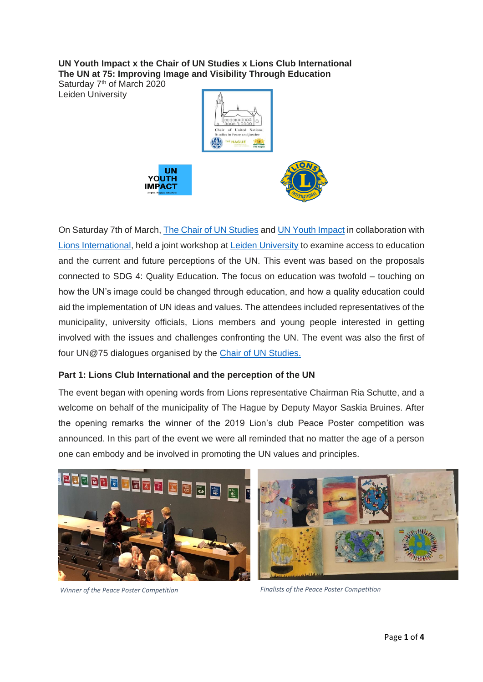**UN Youth Impact x the Chair of UN Studies x Lions Club International The UN at 75: Improving Image and Visibility Through Education**

Saturday 7<sup>th</sup> of March 2020 Leiden University



On Saturday 7th of March, [The Chair of UN Studies](https://www.universiteitleiden.nl/en/research/research-projects/governance-and-global-affairs/chair-of-united-nations-studies-in-peace-and-justice#tab-2) and [UN Youth Impact](https://www.facebook.com/pg/UNYouthImpact/about/?ref=page_internal) in collaboration with [Lions International,](https://lions.nl/#top) held a joint workshop at [Leiden University](https://www.universiteitleiden.nl/en) to examine access to education and the current and future perceptions of the UN. This event was based on the proposals connected to SDG 4: Quality Education. The focus on education was twofold – touching on how the UN's image could be changed through education, and how a quality education could aid the implementation of UN ideas and values. The attendees included representatives of the municipality, university officials, Lions members and young people interested in getting involved with the issues and challenges confronting the UN. The event was also the first of four UN@75 dialogues organised by the [Chair of UN Studies.](https://www.universiteitleiden.nl/en/research/research-projects/governance-and-global-affairs/chair-of-united-nations-studies-in-peace-and-justice#tab-2)

## **Part 1: Lions Club International and the perception of the UN**

The event began with opening words from Lions representative Chairman Ria Schutte, and a welcome on behalf of the municipality of The Hague by Deputy Mayor Saskia Bruines. After the opening remarks the winner of the 2019 Lion's club Peace Poster competition was announced. In this part of the event we were all reminded that no matter the age of a person one can embody and be involved in promoting the UN values and principles.





*Winner of the Peace Poster Competition Finalists of the Peace Poster Competition*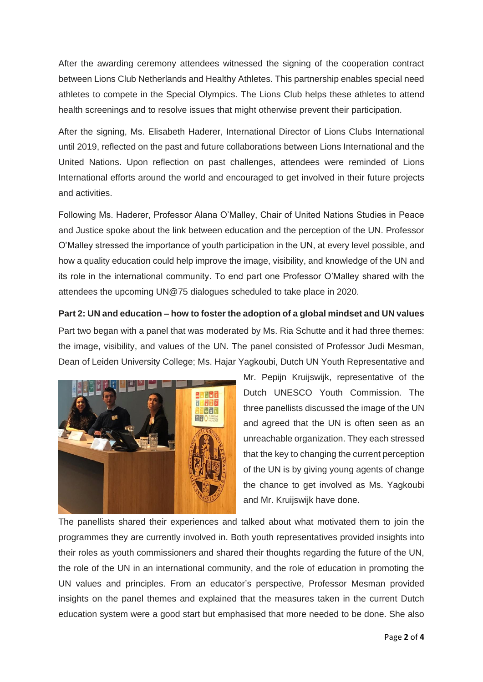After the awarding ceremony attendees witnessed the signing of the cooperation contract between Lions Club Netherlands and Healthy Athletes. This partnership enables special need athletes to compete in the Special Olympics. The Lions Club helps these athletes to attend health screenings and to resolve issues that might otherwise prevent their participation.

After the signing, Ms. Elisabeth Haderer, International Director of Lions Clubs International until 2019, reflected on the past and future collaborations between Lions International and the United Nations. Upon reflection on past challenges, attendees were reminded of Lions International efforts around the world and encouraged to get involved in their future projects and activities.

Following Ms. Haderer, Professor Alana O'Malley, Chair of United Nations Studies in Peace and Justice spoke about the link between education and the perception of the UN. Professor O'Malley stressed the importance of youth participation in the UN, at every level possible, and how a quality education could help improve the image, visibility, and knowledge of the UN and its role in the international community. To end part one Professor O'Malley shared with the attendees the upcoming UN@75 dialogues scheduled to take place in 2020.

**Part 2: UN and education – how to foster the adoption of a global mindset and UN values** Part two began with a panel that was moderated by Ms. Ria Schutte and it had three themes: the image, visibility, and values of the UN. The panel consisted of Professor Judi Mesman, Dean of Leiden University College; Ms. Hajar Yagkoubi, Dutch UN Youth Representative and



Mr. Pepijn Kruijswijk, representative of the Dutch UNESCO Youth Commission. The three panellists discussed the image of the UN and agreed that the UN is often seen as an unreachable organization. They each stressed that the key to changing the current perception of the UN is by giving young agents of change the chance to get involved as Ms. Yagkoubi and Mr. Kruijswijk have done.

The panellists shared their experiences and talked about what motivated them to join the programmes they are currently involved in. Both youth representatives provided insights into their roles as youth commissioners and shared their thoughts regarding the future of the UN, the role of the UN in an international community, and the role of education in promoting the UN values and principles. From an educator's perspective, Professor Mesman provided insights on the panel themes and explained that the measures taken in the current Dutch education system were a good start but emphasised that more needed to be done. She also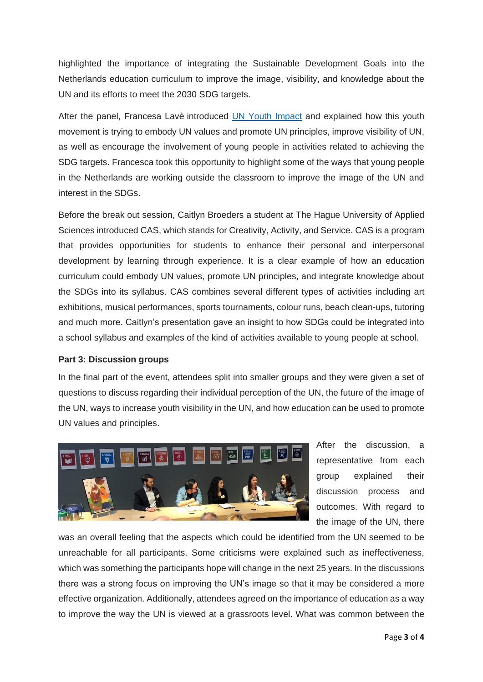highlighted the importance of integrating the Sustainable Development Goals into the Netherlands education curriculum to improve the image, visibility, and knowledge about the UN and its efforts to meet the 2030 SDG targets.

After the panel, Francesa Lavè introduced [UN Youth Impact](https://www.facebook.com/pg/UNYouthImpact/about/?ref=page_internal) and explained how this youth movement is trying to embody UN values and promote UN principles, improve visibility of UN, as well as encourage the involvement of young people in activities related to achieving the SDG targets. Francesca took this opportunity to highlight some of the ways that young people in the Netherlands are working outside the classroom to improve the image of the UN and interest in the SDGs.

Before the break out session, Caitlyn Broeders a student at The Hague University of Applied Sciences introduced CAS, which stands for Creativity, Activity, and Service. CAS is a program that provides opportunities for students to enhance their personal and interpersonal development by learning through experience. It is a clear example of how an education curriculum could embody UN values, promote UN principles, and integrate knowledge about the SDGs into its syllabus. CAS combines several different types of activities including art exhibitions, musical performances, sports tournaments, colour runs, beach clean-ups, tutoring and much more. Caitlyn's presentation gave an insight to how SDGs could be integrated into a school syllabus and examples of the kind of activities available to young people at school.

## **Part 3: Discussion groups**

In the final part of the event, attendees split into smaller groups and they were given a set of questions to discuss regarding their individual perception of the UN, the future of the image of the UN, ways to increase youth visibility in the UN, and how education can be used to promote UN values and principles.



After the discussion, a representative from each group explained their discussion process and outcomes. With regard to the image of the UN, there

was an overall feeling that the aspects which could be identified from the UN seemed to be unreachable for all participants. Some criticisms were explained such as ineffectiveness, which was something the participants hope will change in the next 25 years. In the discussions there was a strong focus on improving the UN's image so that it may be considered a more effective organization. Additionally, attendees agreed on the importance of education as a way to improve the way the UN is viewed at a grassroots level. What was common between the